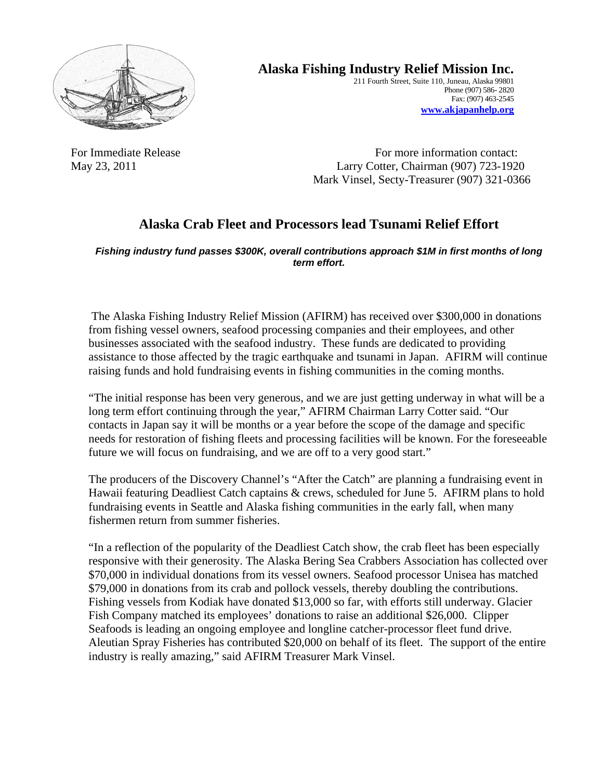

**Alaska Fishing Industry Relief Mission Inc.** 

211 Fourth Street, Suite 110, Juneau, Alaska 99801 Phone (907) 586- 2820 Fax: (907) 463-2545 **www.akjapanhelp.org** 

For Immediate Release For more information contact: May 23, 2011 Larry Cotter, Chairman (907) 723-1920 Mark Vinsel, Secty-Treasurer (907) 321-0366

## **Alaska Crab Fleet and Processors lead Tsunami Relief Effort**

*Fishing industry fund passes \$300K, overall contributions approach \$1M in first months of long term effort.*

 The Alaska Fishing Industry Relief Mission (AFIRM) has received over \$300,000 in donations from fishing vessel owners, seafood processing companies and their employees, and other businesses associated with the seafood industry. These funds are dedicated to providing assistance to those affected by the tragic earthquake and tsunami in Japan. AFIRM will continue raising funds and hold fundraising events in fishing communities in the coming months.

"The initial response has been very generous, and we are just getting underway in what will be a long term effort continuing through the year," AFIRM Chairman Larry Cotter said. "Our contacts in Japan say it will be months or a year before the scope of the damage and specific needs for restoration of fishing fleets and processing facilities will be known. For the foreseeable future we will focus on fundraising, and we are off to a very good start."

The producers of the Discovery Channel's "After the Catch" are planning a fundraising event in Hawaii featuring Deadliest Catch captains & crews, scheduled for June 5. AFIRM plans to hold fundraising events in Seattle and Alaska fishing communities in the early fall, when many fishermen return from summer fisheries.

"In a reflection of the popularity of the Deadliest Catch show, the crab fleet has been especially responsive with their generosity. The Alaska Bering Sea Crabbers Association has collected over \$70,000 in individual donations from its vessel owners. Seafood processor Unisea has matched \$79,000 in donations from its crab and pollock vessels, thereby doubling the contributions. Fishing vessels from Kodiak have donated \$13,000 so far, with efforts still underway. Glacier Fish Company matched its employees' donations to raise an additional \$26,000. Clipper Seafoods is leading an ongoing employee and longline catcher-processor fleet fund drive. Aleutian Spray Fisheries has contributed \$20,000 on behalf of its fleet. The support of the entire industry is really amazing," said AFIRM Treasurer Mark Vinsel.